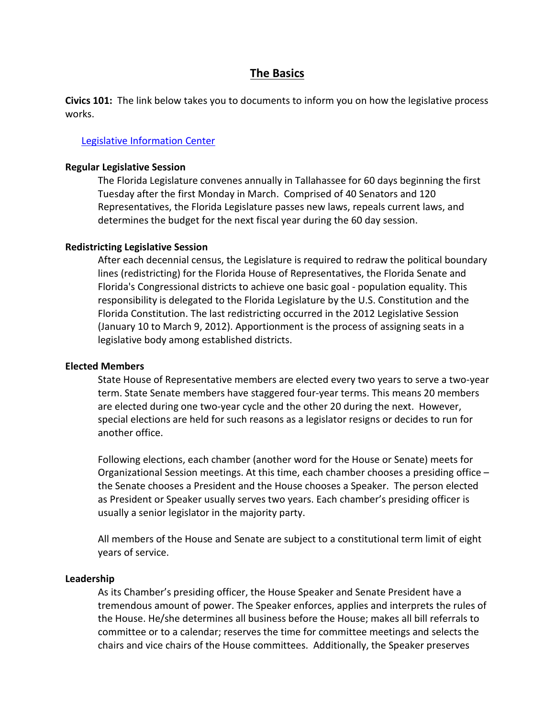# **The Basics**

**Civics 101:** The link below takes you to documents to inform you on how the legislative process works.

### [Legislative Information Center](http://www.leg.state.fl.us/Info_Center/index.cfm?Tab=info_center&submenu=-1&CFID=71517664&CFTOKEN=18480605)

#### **Regular Legislative Session**

The Florida Legislature convenes annually in Tallahassee for 60 days beginning the first Tuesday after the first Monday in March. Comprised of 40 Senators and 120 Representatives, the Florida Legislature passes new laws, repeals current laws, and determines the budget for the next fiscal year during the 60 day session.

### **Redistricting Legislative Session**

After each decennial census, the Legislature is required to redraw the political boundary lines (redistricting) for the Florida House of Representatives, the Florida Senate and Florida's Congressional districts to achieve one basic goal - population equality. This responsibility is delegated to the Florida Legislature by the U.S. Constitution and the Florida Constitution. The last redistricting occurred in the 2012 Legislative Session (January 10 to March 9, 2012). Apportionment is the process of assigning seats in a legislative body among established districts.

#### **Elected Members**

State House of Representative members are elected every two years to serve a two-year term. State Senate members have staggered four-year terms. This means 20 members are elected during one two-year cycle and the other 20 during the next. However, special elections are held for such reasons as a legislator resigns or decides to run for another office.

Following elections, each chamber (another word for the House or Senate) meets for Organizational Session meetings. At this time, each chamber chooses a presiding office – the Senate chooses a President and the House chooses a Speaker. The person elected as President or Speaker usually serves two years. Each chamber's presiding officer is usually a senior legislator in the majority party.

All members of the House and Senate are subject to a constitutional term limit of eight years of service.

#### **Leadership**

As its Chamber's presiding officer, the House Speaker and Senate President have a tremendous amount of power. The Speaker enforces, applies and interprets the rules of the House. He/she determines all business before the House; makes all bill referrals to committee or to a calendar; reserves the time for committee meetings and selects the chairs and vice chairs of the House committees. Additionally, the Speaker preserves